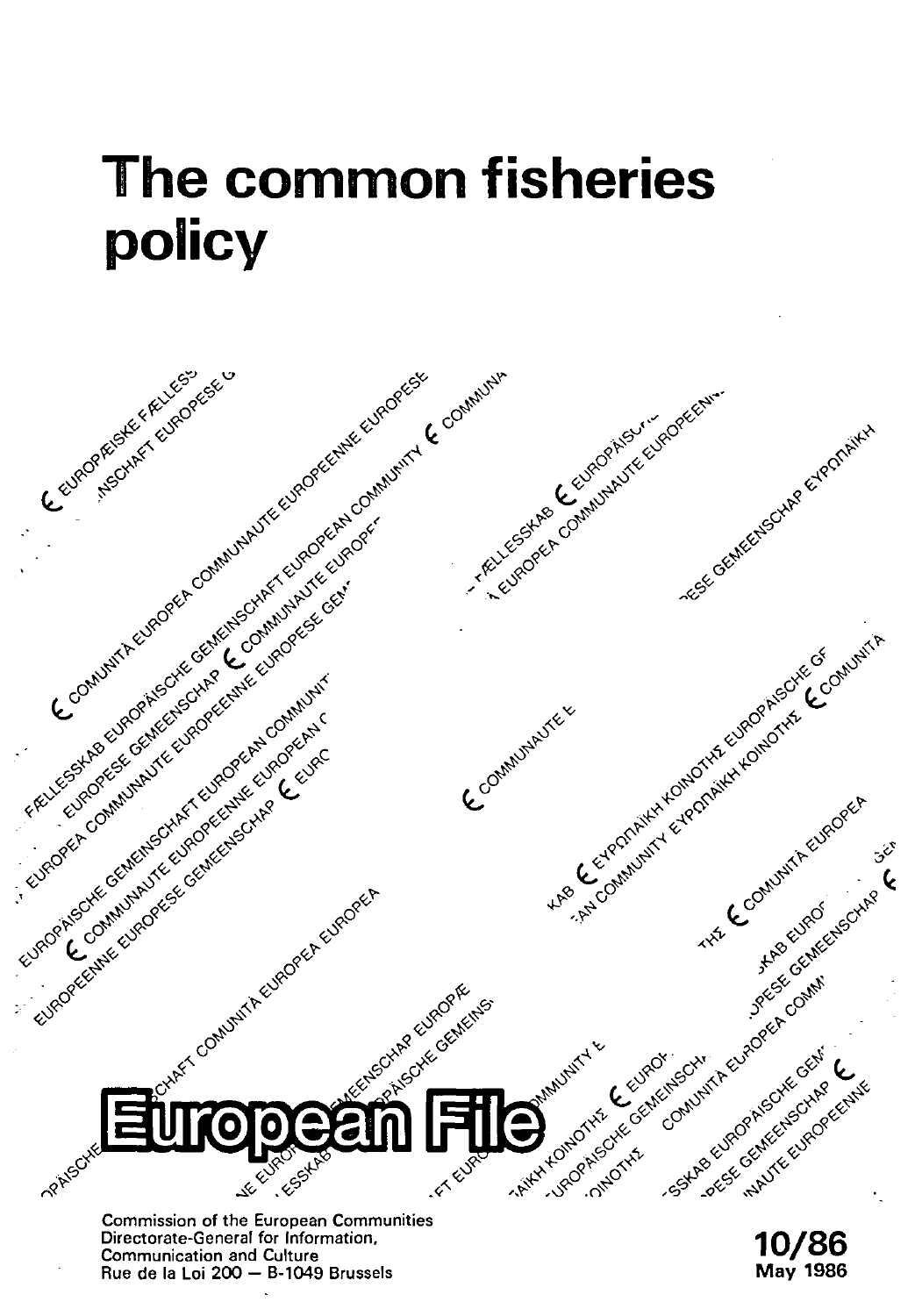# **The common fisheries policy**

Procedure of the process of the content of the content of the content of the content of the content of the content of the content of the content of the content of the content of the content of the content of the content of Tell to de the Guilland Recycle City. Leuropee Communicus Tree Gentlettechte Exportanty New Contract of the Contract of the Contract of the Contract of the Contract of the Contract of the Contract of the Contract of the Contract of the Contract of the Contract of the Contract of the Contract of the Contract o Companing the Strategy of Red Companing Every Companing to the Companing Companing Companing Companing Companing Companing Companing Companing Companing Companing Companing Companing Companing Companing Companing Companing As Centralized Contact He Europe Contact & Contact As Centralized Contact As Contact As Centralized Books of Contact As Centralized Books of Contact As Centralized Books of Contact As Centralized Books of Contact As Centra HAS COMMUNITY EVERYOND A REVEAL AND REVEAL OF CONTRACTOR AND REVEAL OF CONTRACTOR AND REVEAL OF CONTRACTOR AND REVEAL OF CONTRACTOR AND REVEAL OF CONTRACTOR AND REVEAL OF CONTRACTOR AND REVEAL OF CONTRACTOR AND REVEAL OF C Control of the Control of the Control of the Control of the Control of the Control of the Control of the Control of the Control of the Control of the Control of the Control of the Control of the Control of the Control of t COMMUNITY R.E. Europe Artist Contract Content Content Content Content Content Content Content Content Content Content Content HATA COMMATTREJEONES  $5^{\circ}$ Jackson Milkeway Accessive Community Curcose A Curcoset computing or accepted computer A CHARGE AND CHARGE **CARL CAREFORM** First degrad the Centre of Sextrack who the contract of the MANUNITY & Helper Centre Centre Contraction **10/86** Indian Elizabeth Centre **RRAISCHE A Ellist** ىك

Commission of the European Communities Directorate-General for Information. Communication and Culture Rue de la Loi 200 - B-1049 Brussels

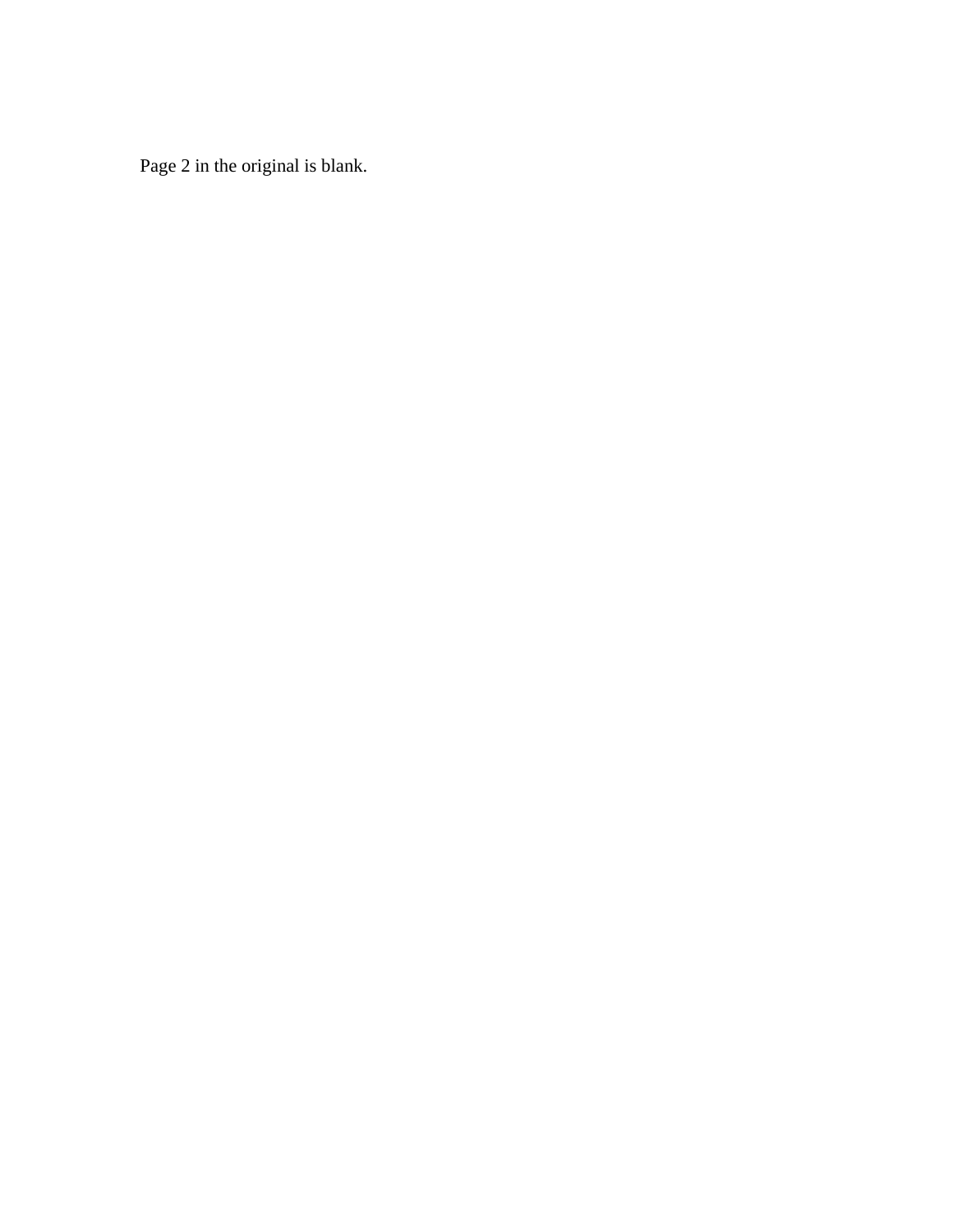Page 2 in the original is blank.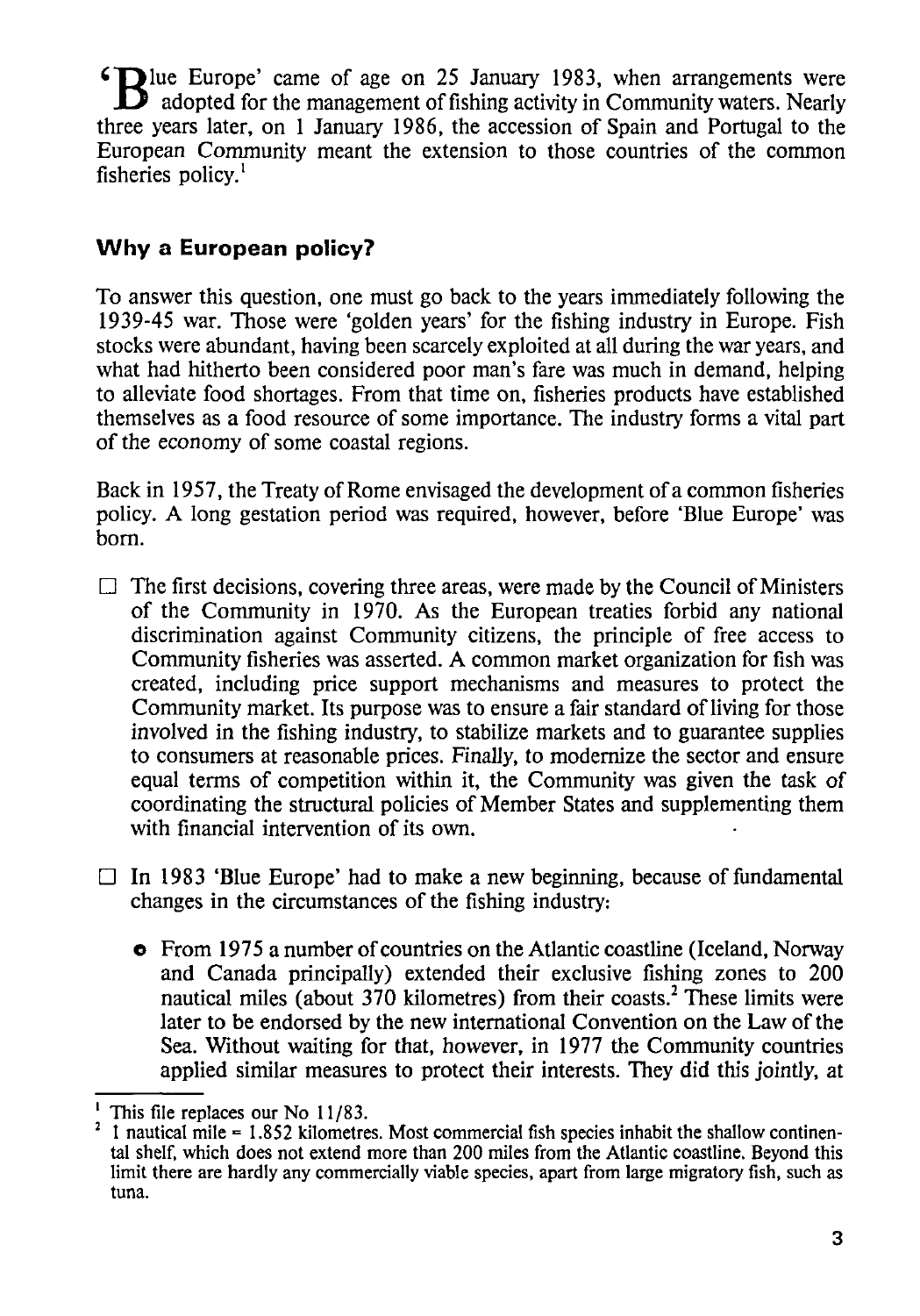**'Blue** Europe' came of age on 25 January 1983, when arrangements were **B** adopted for the management of fishing activity in Community waters. Nearly three years later, on 1 January 1986, the accession of Spain and Portugal to the European Community meant the extension to those countries of the common fisheries policy.<sup>1</sup>

## **Why a European policy?**

To answer this question, one must go back to the years immediately following the 1939-45 war. Those were 'golden years' for the fishing industry in Europe. Fish stocks were abundant, having been scarcely exploited at all during the war years, and what had hitherto been considered poor man's fare was much in demand, helping to alleviate food shortages. From that time on, fisheries products have established themselves as a food resource of some importance. The industry forms a vital part of the economy of some coastal regions.

Back in 1957, the Treaty of Rome envisaged the development of a common fisheries policy. A long gestation period was required, however, before 'Blue Europe' was born.

- $\Box$  The first decisions, covering three areas, were made by the Council of Ministers of the Community in 1970. As the European treaties forbid any national discrimination against Community citizens, the principle of free access to Community fisheries was asserted. A common market organization for fish was created, including price support mechanisms and measures to protect the Community market. Its purpose was to ensure a fair standard of living for those involved in the fishing industry, to stabilize markets and to guarantee supplies to consumers at reasonable prices. Finally, to modernize the sector and ensure equal terms of competition within it, the Community was given the task of coordinating the structural policies of Member States and supplementing them with financial intervention of its own.
- $\Box$  In 1983 'Blue Europe' had to make a new beginning, because of fundamental changes in the circumstances of the fishing industry:
	- **o** From 1975 a number of countries on the Atlantic coastline (Iceland, Norway and Canada principally) extended their exclusive fishing zones to 200 nautical miles (about 370 kilometres) from their coasts.<sup>2</sup> These limits were later to be endorsed by the new international Convention on the Law of the Sea. Without waiting for that, however, in 1977 the Community countries applied similar measures to protect their interests. They did this jointly, at

<sup>&</sup>lt;sup>1</sup> This file replaces our No 11/83.<br><sup>2</sup> I nautical mile = 1.852 kilometres. Most commercial fish species inhabit the shallow continental shelf, which does not extend more than 200 miles from the Atlantic coastline. Beyond this limit there are hardly any commercially viable species, apart from large migratory fish, such as tuna.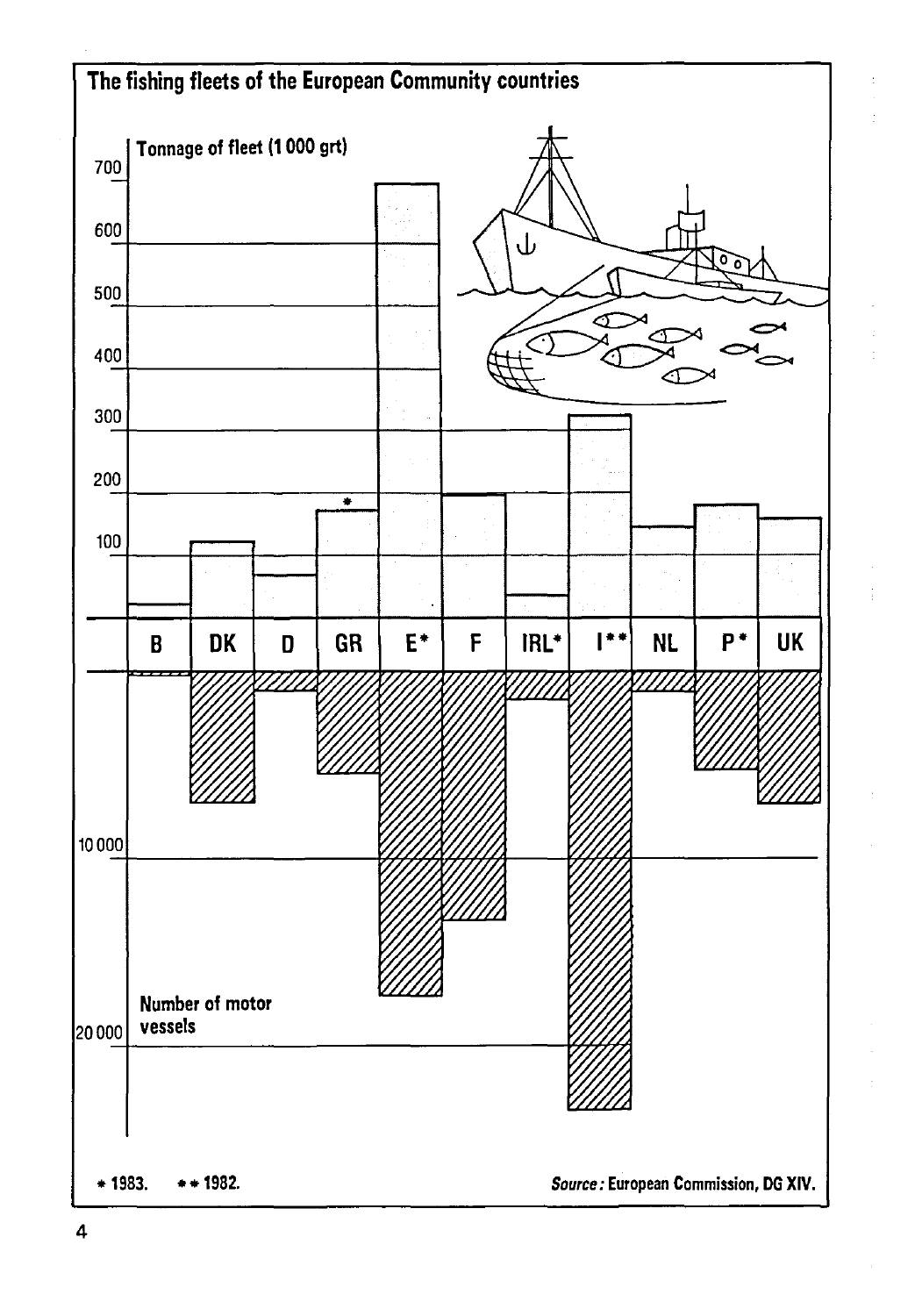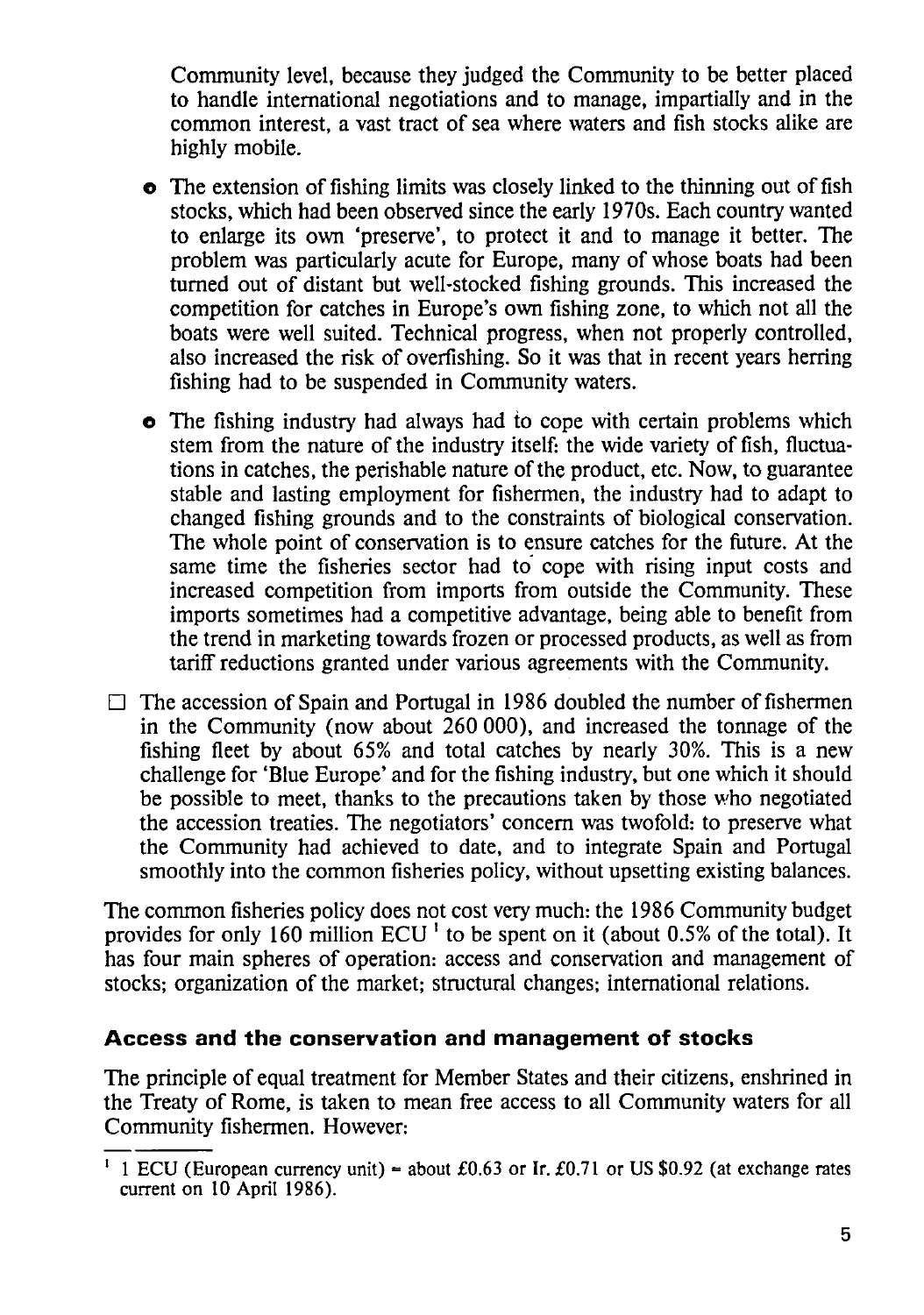Community level, because they judged the Community to be better placed to handle international negotiations and to manage, impartially and in the common interest, a vast tract of sea where waters and fish stocks alike are highly mobile.

- **o** The extension of fishing limits was closely linked to the thinning out of fish stocks, which had been observed since the early 1970s. Each country wanted to enlarge its own 'preserve', to protect it and to manage it better. The problem was particularly acute for Europe, many of whose boats had been turned out of distant but well-stocked fishing grounds. This increased the competition for catches in Europe's own fishing zone, to which not all the boats were well suited. Technical progress, when not properly controlled, also increased the risk of overfishing. So it was that in recent years herring fishing had to be suspended in Community waters.
- **o** The fishing industry had always had to cope with certain problems which stem from the nature of the industry itself: the wide variety of fish, fluctuations in catches, the perishable nature of the product, etc. Now, to guarantee stable and lasting employment for fishermen, the industry had to adapt to changed fishing grounds and to the constraints of biological conservation. The whole point of conservation is to ensure catches for the future. At the same time the fisheries sector had to cope with rising input costs and increased competition from imports from outside the Community. These imports sometimes had a competitive advantage, being able to benefit from the trend in marketing towards frozen or processed products, as well as from tariff reductions granted under various agreements with the Community.
- $\Box$  The accession of Spain and Portugal in 1986 doubled the number of fishermen in the Community (now about 260 000), and increased the tonnage of the fishing fleet by about 65% and total catches by nearly 30%. This is a new challenge for 'Blue Europe' and for the fishing industry, but one which it should be possible to meet, thanks to the precautions taken by those who negotiated the accession treaties. The negotiators' concern was twofold: to preserve what the Community had achieved to date, and to integrate Spain and Portugal smoothly into the common fisheries policy, without upsetting existing balances.

The common fisheries policy does not cost very much: the 1986 Community budget provides for only 160 million ECU<sup>1</sup> to be spent on it (about 0.5% of the total). It has four main spheres of operation: access and conservation and management of stocks; organization of the market; structural changes; international relations.

## **Access and the conservation and management of stocks**

The principle of equal treatment for Member States and their citizens, enshrined in the Treaty of Rome, is taken to mean free access to all Community waters for all Community fishermen. However:

<sup>1</sup> ECU (European currency unit) = about £0.63 or Ir. £0.71 or US \$0.92 (at exchange rates current on 10 April 1986).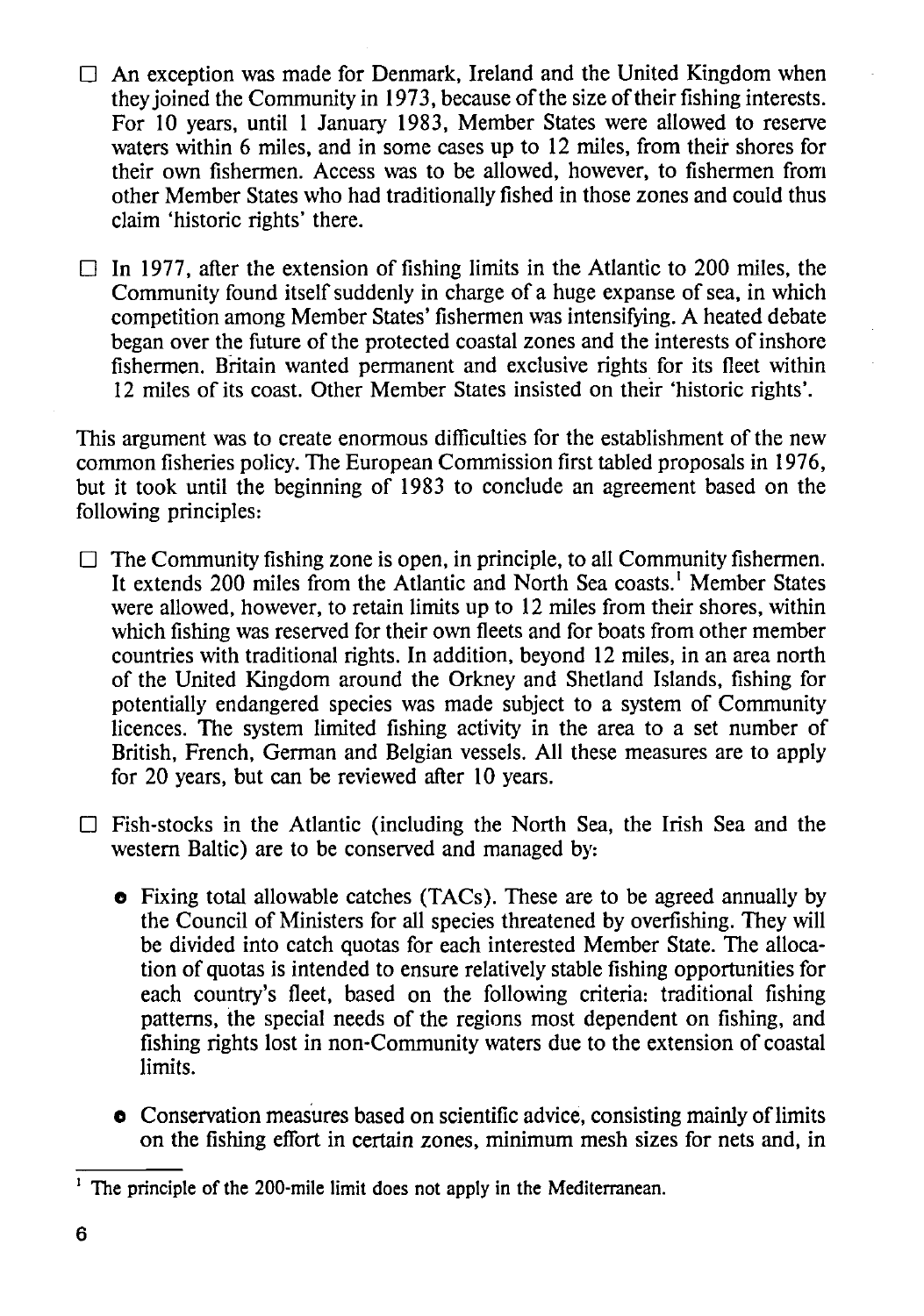$\Box$  An exception was made for Denmark, Ireland and the United Kingdom when they joined the Community in 1973, because of the size of their fishing interests. For 10 years, until 1 January 1983, Member States were allowed to reserve waters within 6 miles, and in some cases up to 12 miles, from their shores for their own fishermen. Access was to be allowed, however, to fishermen from other Member States who had traditionally fished in those zones and could thus claim 'historic rights' there.

 $\Box$  In 1977, after the extension of fishing limits in the Atlantic to 200 miles, the Community found itself suddenly in charge of a huge expanse of sea, in which competition among Member States' fishermen was intensifying. A heated debate began over the future of the protected coastal zones and the interests of inshore fishermen. Britain wanted permanent and exclusive rights for its fleet within 12 miles of its coast. Other Member States insisted on their 'historic rights'.

This argument was to create enormous difficulties for the establishment of the new common fisheries policy. The European Commission first tabled proposals in 1976, but it took until the beginning of 1983 to conclude an agreement based on the following principles:

- $\Box$  The Community fishing zone is open, in principle, to all Community fishermen. It extends 200 miles from the Atlantic and North Sea coasts.<sup>1</sup> Member States were allowed, however, to retain limits up to 12 miles from their shores, within which fishing was reserved for their own fleets and for boats from other member countries with traditional rights. In addition, beyond 12 miles, in an area north of the United Kingdom around the Orkney and Shetland Islands, fishing for potentially endangered species was made subject to a system of Community licences. The system limited fishing activity in the area to a set number of British, French, German and Belgian vessels. All these measures are to apply for 20 years, but can be reviewed after 10 years.
- $\Box$  Fish-stocks in the Atlantic (including the North Sea, the Irish Sea and the western Baltic) are to be conserved and managed by:
	- o Fixing total allowable catches (TACs). These are to be agreed annually by the Council of Ministers for all species threatened by overfishing. They will be divided into catch quotas for each interested Member State. The allocation of quotas is intended to ensure relatively stable fishing opportunities for each country's fleet, based on the following criteria: traditional fishing patterns, the special needs of the regions most dependent on fishing, and fishing rights lost in non-Community waters due to the extension of coastal limits.
	- **o** Conservation measures based on scientific advice, consisting mainly of limits on the fishing effort in certain zones, minimum mesh sizes for nets and, in

<sup>&</sup>lt;sup>1</sup> The principle of the 200-mile limit does not apply in the Mediterranean.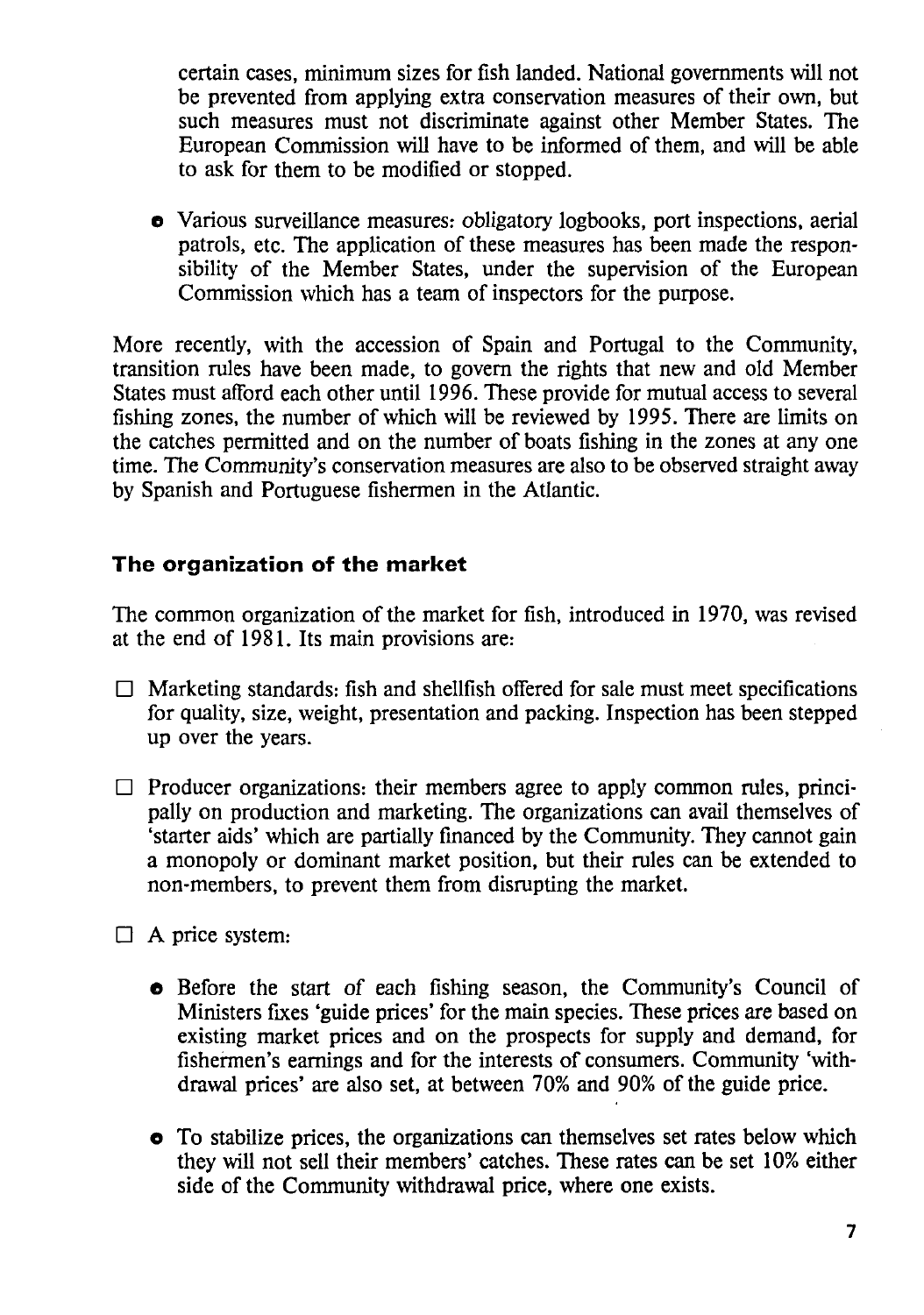certain cases, minimum sizes for fish landed. National governments will not be prevented from applying extra conservation measures of their own, but such measures must not discriminate against other Member States. The European Commission will have to be informed of them, and will be able to ask for them to be modified or stopped.

**o** Various surveillance measures: obligatory logbooks, port inspections, aerial patrols, etc. The application of these measures has been made the responsibility of the Member States, under the supervision of the European Commission which has a team of inspectors for the purpose.

More recently, with the accession of Spain and Portugal to the Community, transition rules have been made, to govern the rights that new and old Member States must afford each other until 1996. These provide for mutual access to several fishing zones, the number of which will be reviewed by 1995. There are limits on the catches permitted and on the number of boats fishing in the zones at any one time. The Community's conservation measures are also to be observed straight away by Spanish and Portuguese fishermen in the Atlantic.

#### **The organization of the market**

The common organization of the market for fish, introduced in 1970, was revised at the end of 1981. Its main provisions are:

- $\Box$  Marketing standards: fish and shellfish offered for sale must meet specifications for quality, size, weight, presentation and packing. Inspection has been stepped up over the years.
- $\Box$  Producer organizations: their members agree to apply common rules, principally on production and marketing. The organizations can avail themselves of 'starter aids' which are partially fmanced by the Community. They cannot gain a monopoly or dominant market position, but their rules can be extended to non-members, to prevent them from disrupting the market.
- $\Box$  A price system:
	- **o** Before the start of each fishing season, the Community's Council of Ministers fixes 'guide prices' for the main species. These prices are based on existing market prices and on the prospects for supply and demand, for fishermen's earnings and for the interests of consumers. Community 'withdrawal prices' are also set, at between 70% and 90% of the guide price.
	- **o** To stabilize prices, the organizations can themselves set rates below which they will not sell their members' catches. These rates can be set 10% either side of the Community withdrawal price, where one exists.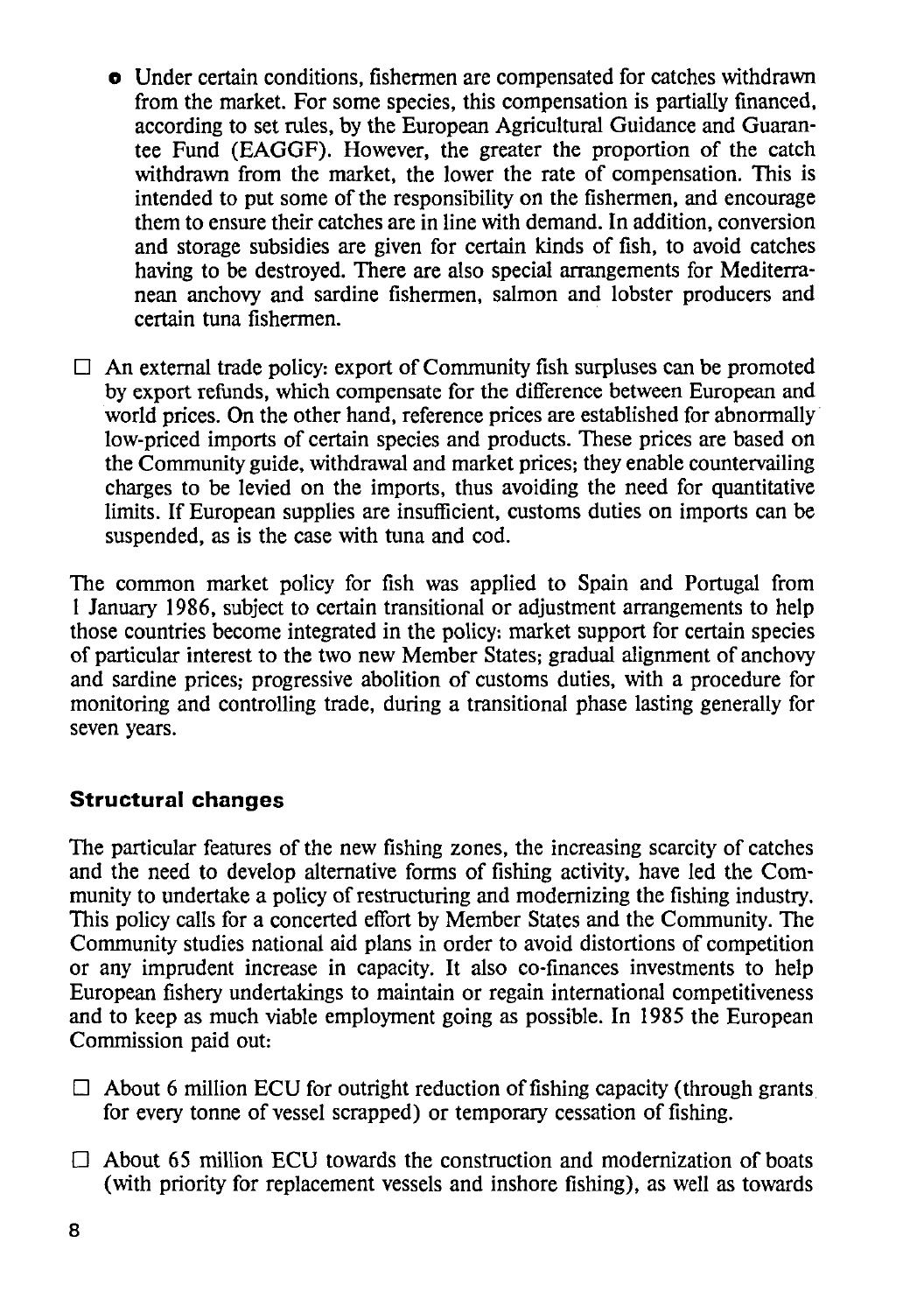- **o** Under certain conditions, fishermen are compensated for catches withdrawn from the market. For some species, this compensation is partially financed, according to set rules, by the European Agricultural Guidance and Guarantee Fund (EAGGF). However, the greater the proportion of the catch withdrawn from the market, the lower the rate of compensation. This is intended to put some of the responsibility on the fishermen, and encourage them to ensure their catches are in line with demand. In addition, conversion and storage subsidies are given for certain kinds of fish, to avoid catches having to be destroyed. There are also special arrangements for Mediterranean anchovy and sardine fishermen, salmon and lobster producers and certain tuna fishermen.
- $\Box$  An external trade policy: export of Community fish surpluses can be promoted by export refunds, which compensate for the difference between European and world prices. On the other hand, reference prices are established for abnormally low-priced imports of certain species and products. These prices are based on the Community guide, withdrawal and market prices; they enable countervailing charges to be levied on the imports, thus avoiding the need for quantitative limits. If European supplies are insufficient, customs duties on imports can be suspended, as is the case with tuna and cod.

The common market policy for fish was applied to Spain and Portugal from 1 January 1986, subject to certain transitional or adjustment arrangements to help those countries become integrated in the policy: market support for certain species of particular interest to the two new Member States; gradual alignment of anchovy and sardine prices; progressive abolition of customs duties, with a procedure for monitoring and controlling trade, during a transitional phase lasting generally for seven years.

## **Structural changes**

The particular features of the new fishing zones, the increasing scarcity of catches and the need to develop alternative forms of fishing activity, have led the Community to undertake a policy of restructuring and modernizing the fishing industry. This policy calls for a concerted effort by Member States and the Community. The Community studies national aid plans in order to avoid distortions of competition or any imprudent increase in capacity. It also co-finances investments to help European fishery undertakings to maintain or regain international competitiveness and to keep as much viable employment going as possible. In 1985 the European Commission paid out:

- $\Box$  About 6 million ECU for outright reduction of fishing capacity (through grants for every tonne of vessel scrapped) or temporary cessation of fishing.
- $\Box$  About 65 million ECU towards the construction and modernization of boats (with priority for replacement vessels and inshore fishing), as well as towards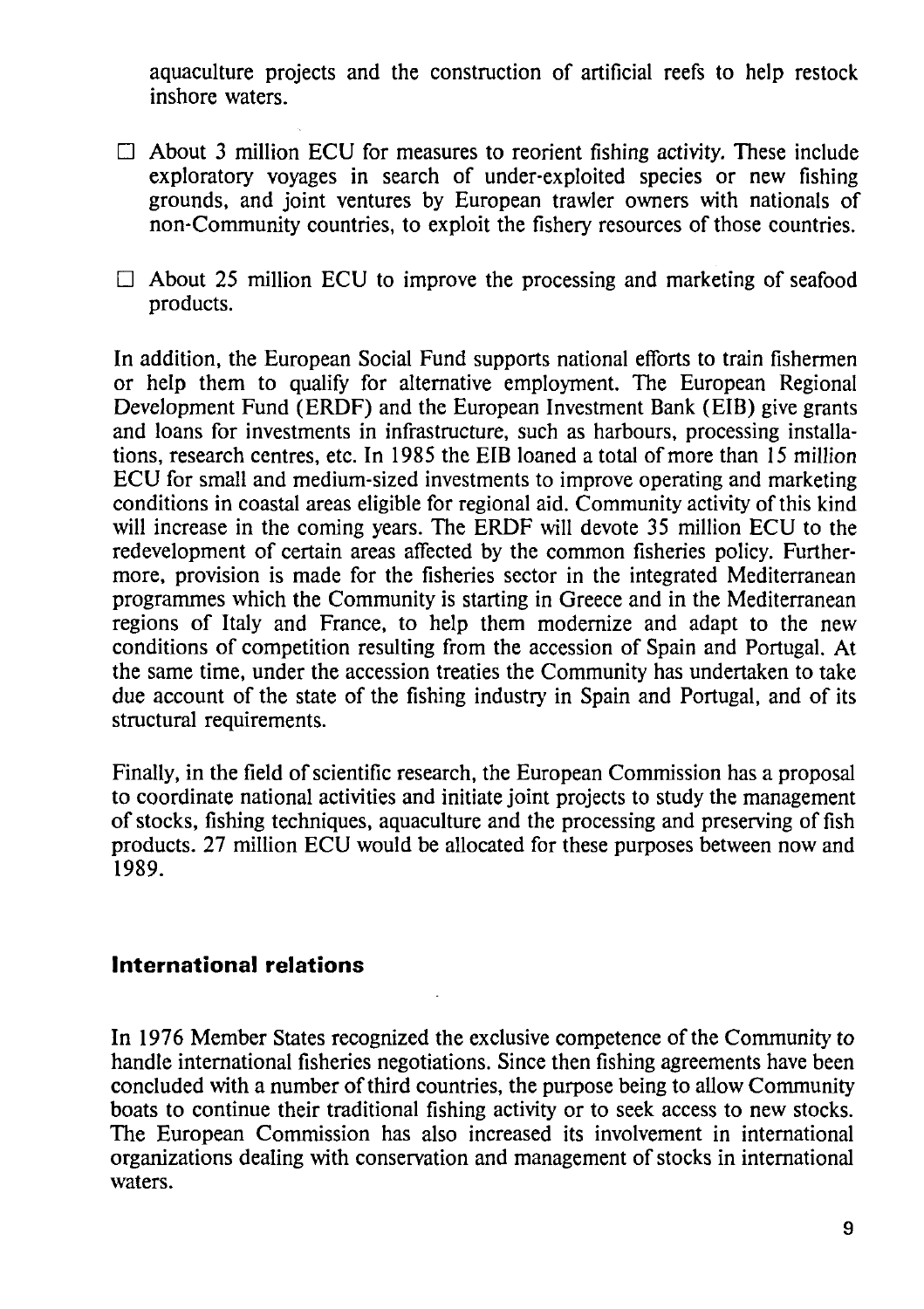aquaculture projects and the construction of artificial reefs to help restock inshore waters.

- $\Box$  About 3 million ECU for measures to reorient fishing activity. These include exploratory voyages in search of under-exploited species or new fishing grounds, and joint ventures by European trawler owners with nationals of non-Community countries, to exploit the fishery resources of those countries.
- $\Box$  About 25 million ECU to improve the processing and marketing of seafood products.

In addition, the European Social Fund supports national efforts to train fishermen or help them to qualify for alternative employment. The European Regional Development Fund (ERDF) and the European Investment Bank (EIB) give grants and loans for investments in infrastructure, such as harbours, processing installations, research centres, etc. In 1985 the EIB loaned a total of more than 15 million ECU for small and medium-sized investments to improve operating and marketing conditions in coastal areas eligible for regional aid. Community activity of this kind will increase in the coming years. The ERDF will devote 35 million ECU to the redevelopment of certain areas affected by the common fisheries policy. Furthermore, provision is made for the fisheries sector in the integrated Mediterranean programmes which the Community is starting in Greece and in the Mediterranean regions of Italy and France, to help them modernize and adapt to the new conditions of competition resulting from the accession of Spain and Portugal. At the same time, under the accession treaties the Community has undertaken to take due account of the state of the fishing industry in Spain and Portugal, and of its structural requirements.

Finally, in the field of scientific research, the European Commission has a proposal to coordinate national activities and initiate joint projects to study the management of stocks, fishing techniques, aquaculture and the processing and preserving of fish products. 27 million ECU would be allocated for these purposes between now and 1989.

### **International relations**

In 1976 Member States recognized the exclusive competence of the Community to handle international fisheries negotiations. Since then fishing agreements have been concluded with a number of third countries, the purpose being to allow Community boats to continue their traditional fishing activity or to seek access to new stocks. The European Commission has also increased its involvement in international organizations dealing with conservation and management of stocks in international waters.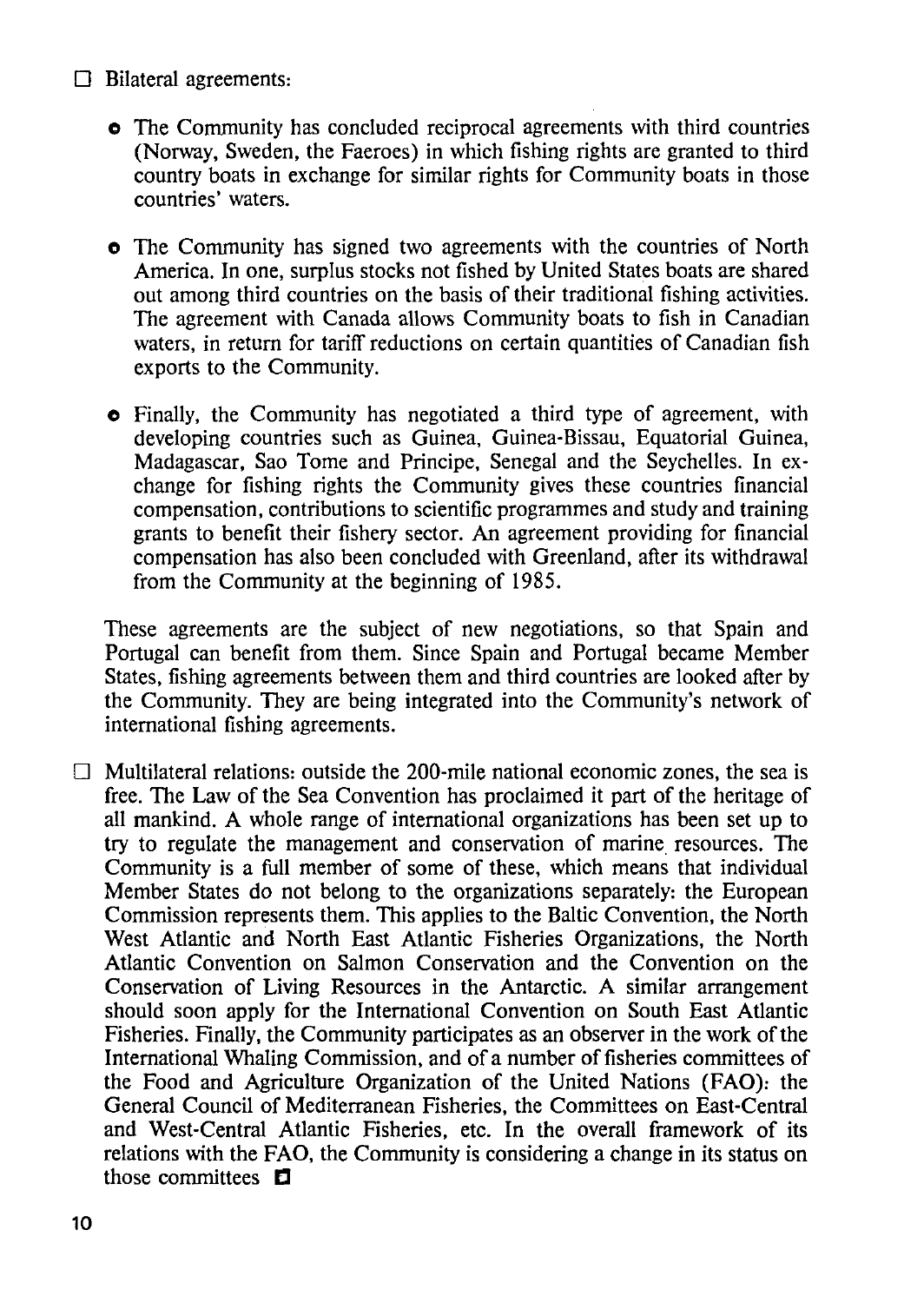- $\Box$  Bilateral agreements:
	- o The Community has concluded reciprocal agreements with third countries (Norway, Sweden, the Faeroes) in which fishing rights are granted to third country boats in exchange for similar rights for Community boats in those countries' waters.
	- o The Community has signed two agreements with the countries of North America. In one, surplus stocks not fished by United States boats are shared out among third countries on the basis of their traditional fishing activities. The agreement with Canada allows Community boats to fish in Canadian waters, in return for tariff reductions on certain quantities of Canadian fish exports to the Community.
	- o Finally, the Community has negotiated a third type of agreement, with developing countries such as Guinea, Guinea-Bissau, Equatorial Guinea, Madagascar, Sao Tome and Principe, Senegal and the Seychelles. In exchange for fishing rights the Community gives these countries financial compensation, contributions to scientific programmes and study and training grants to benefit their fishery sector. An agreement providing for financial compensation has also been concluded with Greenland, after its withdrawal from the Community at the beginning of 1985.

These agreements are the subject of new negotiations, so that Spain and Portugal can benefit from them. Since Spain and Portugal became Member States, fishing agreements between them and third countries are looked after by the Community. They are being integrated into the Community's network of international fishing agreements.

 $\Box$  Multilateral relations: outside the 200-mile national economic zones, the sea is free. The Law of the Sea Convention has proclaimed it part of the heritage of all mankind. A whole range of international organizations has been set up to try to regulate the management and conservation of marine. resources. The Community is a full member of some of these, which means that individual Member States do not belong to the organizations separately: the European Commission represents them. This applies to the Baltic Convention, the North West Atlantic and North East Atlantic Fisheries Organizations, the North Atlantic Convention on Salmon Conservation and the Convention on the Conservation of Living Resources in the Antarctic. A similar arrangement should soon apply for the International Convention on South East Atlantic Fisheries. Finally, the Community participates as an observer in the work of the International Whaling Commission, and of a number of fisheries committees of the Food and Agriculture Organization of the United Nations (FAO): the General Council of Mediterranean Fisheries, the Committees on East-Central and West-Central Atlantic Fisheries, etc. In the overall framework of its relations with the FAO, the Community is considering a change in its status on those committees  $\Box$